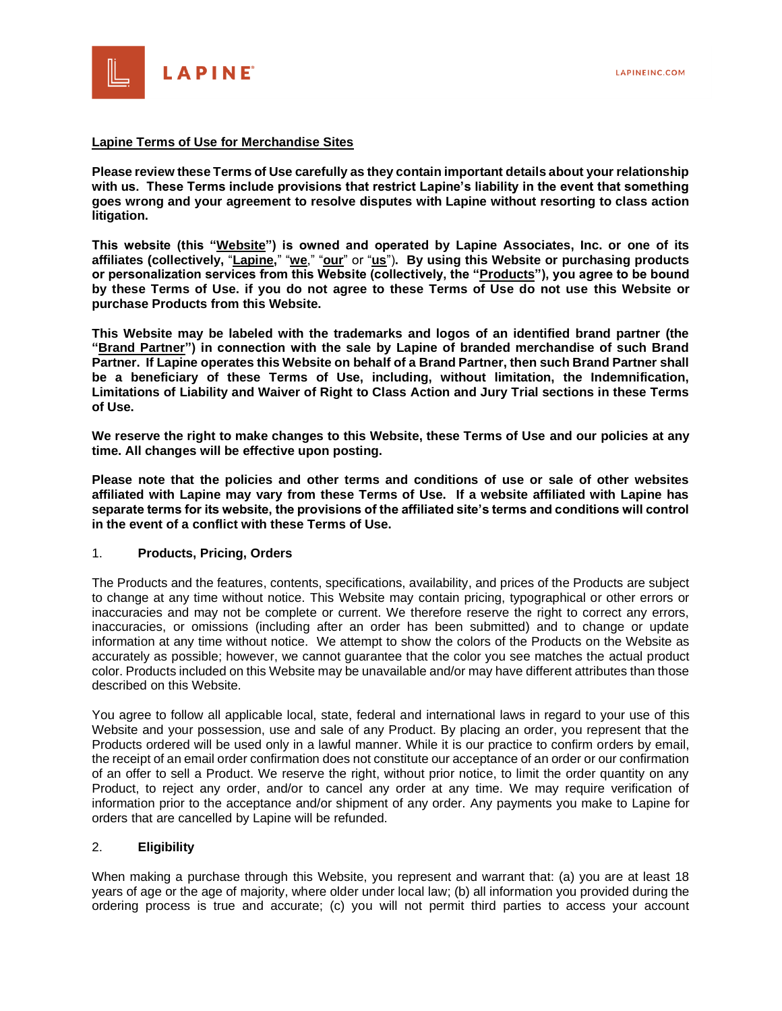

#### **Lapine Terms of Use for Merchandise Sites**

**Please review these Terms of Use carefully as they contain important details about your relationship with us. These Terms include provisions that restrict Lapine's liability in the event that something goes wrong and your agreement to resolve disputes with Lapine without resorting to class action litigation.** 

**This website (this "Website") is owned and operated by Lapine Associates, Inc. or one of its affiliates (collectively,** "**Lapine,**" "**we**," "**our**" or "**us**")**. By using this Website or purchasing products or personalization services from this Website (collectively, the "Products"), you agree to be bound by these Terms of Use. if you do not agree to these Terms of Use do not use this Website or purchase Products from this Website.** 

**This Website may be labeled with the trademarks and logos of an identified brand partner (the "Brand Partner") in connection with the sale by Lapine of branded merchandise of such Brand Partner. If Lapine operates this Website on behalf of a Brand Partner, then such Brand Partner shall be a beneficiary of these Terms of Use, including, without limitation, the Indemnification, Limitations of Liability and Waiver of Right to Class Action and Jury Trial sections in these Terms of Use.**

**We reserve the right to make changes to this Website, these Terms of Use and our policies at any time. All changes will be effective upon posting.** 

**Please note that the policies and other terms and conditions of use or sale of other websites affiliated with Lapine may vary from these Terms of Use. If a website affiliated with Lapine has separate terms for its website, the provisions of the affiliated site's terms and conditions will control in the event of a conflict with these Terms of Use.** 

### 1. **Products, Pricing, Orders**

The Products and the features, contents, specifications, availability, and prices of the Products are subject to change at any time without notice. This Website may contain pricing, typographical or other errors or inaccuracies and may not be complete or current. We therefore reserve the right to correct any errors, inaccuracies, or omissions (including after an order has been submitted) and to change or update information at any time without notice. We attempt to show the colors of the Products on the Website as accurately as possible; however, we cannot guarantee that the color you see matches the actual product color. Products included on this Website may be unavailable and/or may have different attributes than those described on this Website.

You agree to follow all applicable local, state, federal and international laws in regard to your use of this Website and your possession, use and sale of any Product. By placing an order, you represent that the Products ordered will be used only in a lawful manner. While it is our practice to confirm orders by email, the receipt of an email order confirmation does not constitute our acceptance of an order or our confirmation of an offer to sell a Product. We reserve the right, without prior notice, to limit the order quantity on any Product, to reject any order, and/or to cancel any order at any time. We may require verification of information prior to the acceptance and/or shipment of any order. Any payments you make to Lapine for orders that are cancelled by Lapine will be refunded.

### 2. **Eligibility**

When making a purchase through this Website, you represent and warrant that: (a) you are at least 18 years of age or the age of majority, where older under local law; (b) all information you provided during the ordering process is true and accurate; (c) you will not permit third parties to access your account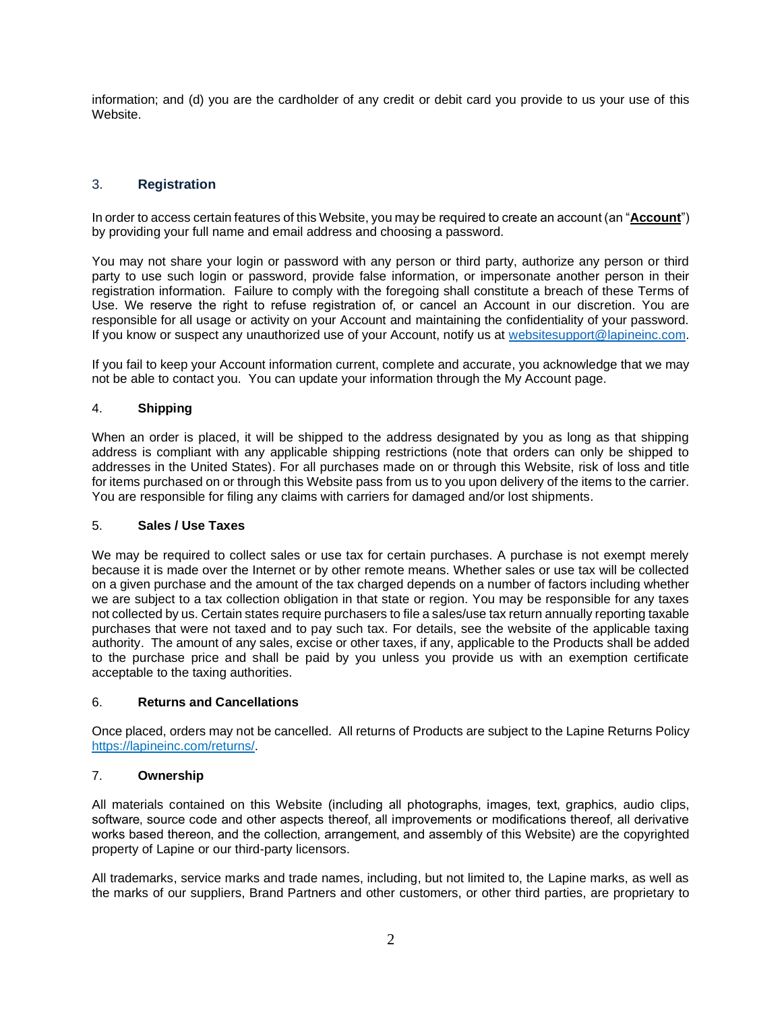information; and (d) you are the cardholder of any credit or debit card you provide to us your use of this Website.

# 3. **Registration**

In order to access certain features of this Website, you may be required to create an account (an "**Account**") by providing your full name and email address and choosing a password.

You may not share your login or password with any person or third party, authorize any person or third party to use such login or password, provide false information, or impersonate another person in their registration information. Failure to comply with the foregoing shall constitute a breach of these Terms of Use. We reserve the right to refuse registration of, or cancel an Account in our discretion. You are responsible for all usage or activity on your Account and maintaining the confidentiality of your password. If you know or suspect any unauthorized use of your Account, notify us at [websitesupport@lapineinc.com.](mailto:websitesupport@lapineinc.com)

If you fail to keep your Account information current, complete and accurate, you acknowledge that we may not be able to contact you. You can update your information through the My Account page.

## 4. **Shipping**

When an order is placed, it will be shipped to the address designated by you as long as that shipping address is compliant with any applicable shipping restrictions (note that orders can only be shipped to addresses in the United States). For all purchases made on or through this Website, risk of loss and title for items purchased on or through this Website pass from us to you upon delivery of the items to the carrier. You are responsible for filing any claims with carriers for damaged and/or lost shipments.

## 5. **Sales / Use Taxes**

We may be required to collect sales or use tax for certain purchases. A purchase is not exempt merely because it is made over the Internet or by other remote means. Whether sales or use tax will be collected on a given purchase and the amount of the tax charged depends on a number of factors including whether we are subject to a tax collection obligation in that state or region. You may be responsible for any taxes not collected by us. Certain states require purchasers to file a sales/use tax return annually reporting taxable purchases that were not taxed and to pay such tax. For details, see the website of the applicable taxing authority. The amount of any sales, excise or other taxes, if any, applicable to the Products shall be added to the purchase price and shall be paid by you unless you provide us with an exemption certificate acceptable to the taxing authorities.

## 6. **Returns and Cancellations**

Once placed, orders may not be cancelled. All returns of Products are subject to the Lapine Returns Policy [https://lapineinc.com/returns/.](https://lapineinc.com/returns/)

### 7. **Ownership**

All materials contained on this Website (including all photographs, images, text, graphics, audio clips, software, source code and other aspects thereof, all improvements or modifications thereof, all derivative works based thereon, and the collection, arrangement, and assembly of this Website) are the copyrighted property of Lapine or our third-party licensors.

All trademarks, service marks and trade names, including, but not limited to, the Lapine marks, as well as the marks of our suppliers, Brand Partners and other customers, or other third parties, are proprietary to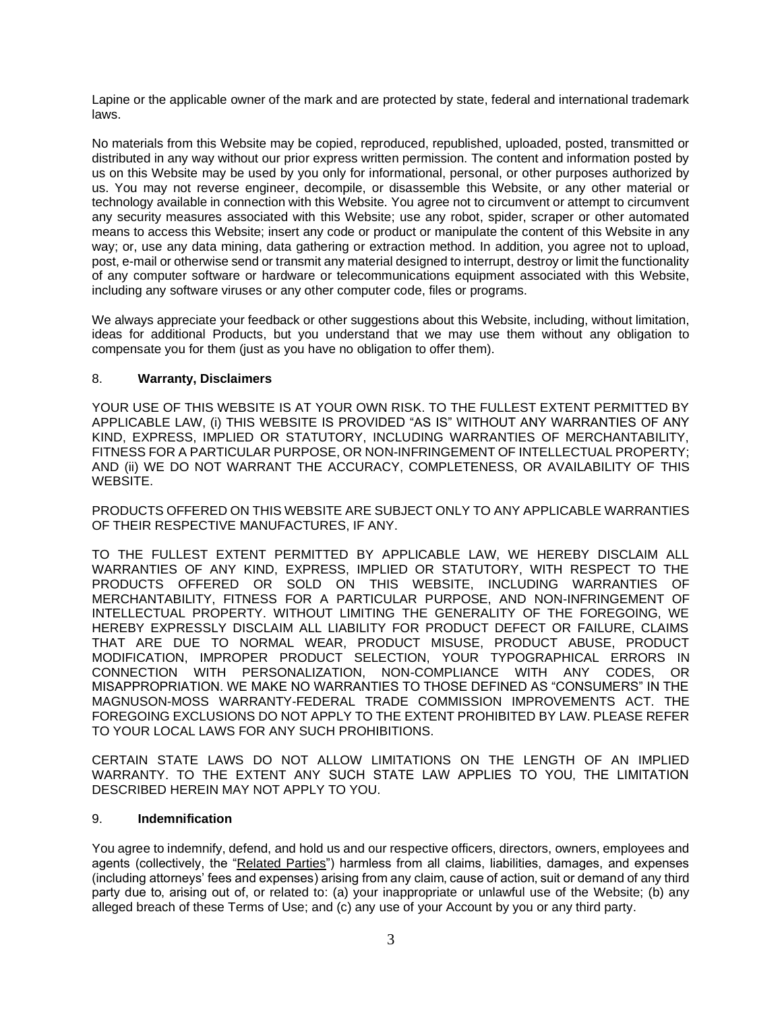Lapine or the applicable owner of the mark and are protected by state, federal and international trademark laws.

No materials from this Website may be copied, reproduced, republished, uploaded, posted, transmitted or distributed in any way without our prior express written permission. The content and information posted by us on this Website may be used by you only for informational, personal, or other purposes authorized by us. You may not reverse engineer, decompile, or disassemble this Website, or any other material or technology available in connection with this Website. You agree not to circumvent or attempt to circumvent any security measures associated with this Website; use any robot, spider, scraper or other automated means to access this Website; insert any code or product or manipulate the content of this Website in any way; or, use any data mining, data gathering or extraction method. In addition, you agree not to upload, post, e-mail or otherwise send or transmit any material designed to interrupt, destroy or limit the functionality of any computer software or hardware or telecommunications equipment associated with this Website, including any software viruses or any other computer code, files or programs.

We always appreciate your feedback or other suggestions about this Website, including, without limitation, ideas for additional Products, but you understand that we may use them without any obligation to compensate you for them (just as you have no obligation to offer them).

## 8. **Warranty, Disclaimers**

YOUR USE OF THIS WEBSITE IS AT YOUR OWN RISK. TO THE FULLEST EXTENT PERMITTED BY APPLICABLE LAW, (i) THIS WEBSITE IS PROVIDED "AS IS" WITHOUT ANY WARRANTIES OF ANY KIND, EXPRESS, IMPLIED OR STATUTORY, INCLUDING WARRANTIES OF MERCHANTABILITY, FITNESS FOR A PARTICULAR PURPOSE, OR NON-INFRINGEMENT OF INTELLECTUAL PROPERTY; AND (ii) WE DO NOT WARRANT THE ACCURACY, COMPLETENESS, OR AVAILABILITY OF THIS WEBSITE.

PRODUCTS OFFERED ON THIS WEBSITE ARE SUBJECT ONLY TO ANY APPLICABLE WARRANTIES OF THEIR RESPECTIVE MANUFACTURES, IF ANY.

TO THE FULLEST EXTENT PERMITTED BY APPLICABLE LAW, WE HEREBY DISCLAIM ALL WARRANTIES OF ANY KIND, EXPRESS, IMPLIED OR STATUTORY, WITH RESPECT TO THE PRODUCTS OFFERED OR SOLD ON THIS WEBSITE, INCLUDING WARRANTIES OF MERCHANTABILITY, FITNESS FOR A PARTICULAR PURPOSE, AND NON-INFRINGEMENT OF INTELLECTUAL PROPERTY. WITHOUT LIMITING THE GENERALITY OF THE FOREGOING, WE HEREBY EXPRESSLY DISCLAIM ALL LIABILITY FOR PRODUCT DEFECT OR FAILURE, CLAIMS THAT ARE DUE TO NORMAL WEAR, PRODUCT MISUSE, PRODUCT ABUSE, PRODUCT MODIFICATION, IMPROPER PRODUCT SELECTION, YOUR TYPOGRAPHICAL ERRORS IN CONNECTION WITH PERSONALIZATION, NON-COMPLIANCE WITH ANY CODES, OR MISAPPROPRIATION. WE MAKE NO WARRANTIES TO THOSE DEFINED AS "CONSUMERS" IN THE MAGNUSON-MOSS WARRANTY-FEDERAL TRADE COMMISSION IMPROVEMENTS ACT. THE FOREGOING EXCLUSIONS DO NOT APPLY TO THE EXTENT PROHIBITED BY LAW. PLEASE REFER TO YOUR LOCAL LAWS FOR ANY SUCH PROHIBITIONS.

CERTAIN STATE LAWS DO NOT ALLOW LIMITATIONS ON THE LENGTH OF AN IMPLIED WARRANTY. TO THE EXTENT ANY SUCH STATE LAW APPLIES TO YOU. THE LIMITATION DESCRIBED HEREIN MAY NOT APPLY TO YOU.

### 9. **Indemnification**

You agree to indemnify, defend, and hold us and our respective officers, directors, owners, employees and agents (collectively, the "Related Parties") harmless from all claims, liabilities, damages, and expenses (including attorneys' fees and expenses) arising from any claim, cause of action, suit or demand of any third party due to, arising out of, or related to: (a) your inappropriate or unlawful use of the Website; (b) any alleged breach of these Terms of Use; and (c) any use of your Account by you or any third party.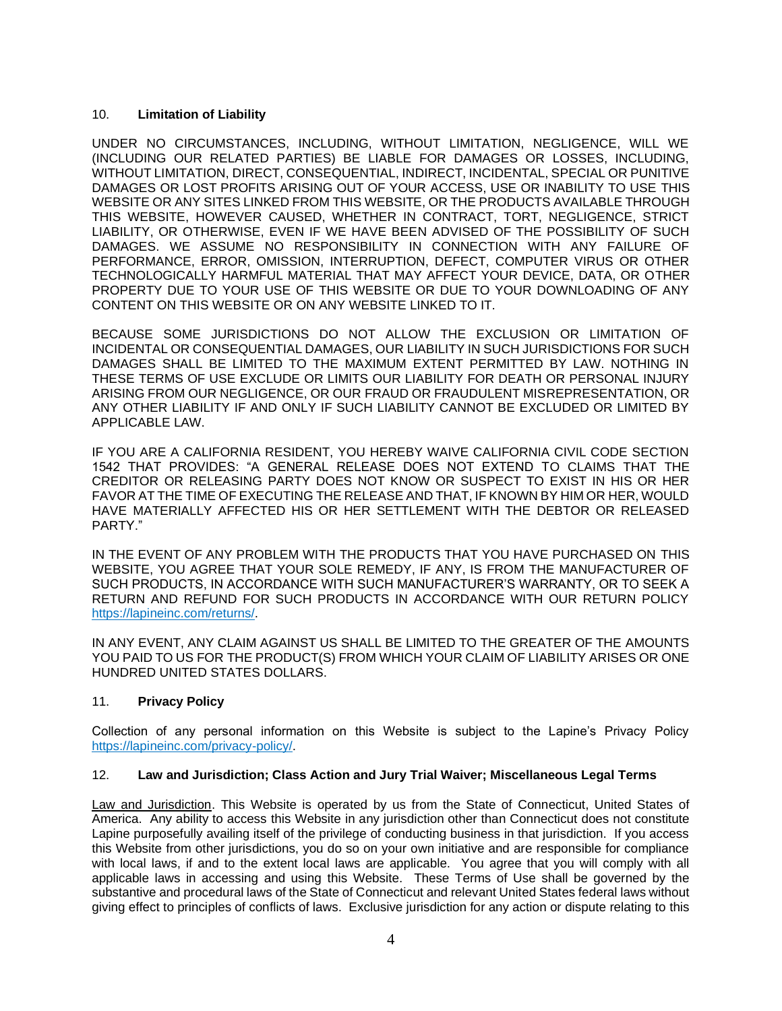### 10. **Limitation of Liability**

UNDER NO CIRCUMSTANCES, INCLUDING, WITHOUT LIMITATION, NEGLIGENCE, WILL WE (INCLUDING OUR RELATED PARTIES) BE LIABLE FOR DAMAGES OR LOSSES, INCLUDING, WITHOUT LIMITATION, DIRECT, CONSEQUENTIAL, INDIRECT, INCIDENTAL, SPECIAL OR PUNITIVE DAMAGES OR LOST PROFITS ARISING OUT OF YOUR ACCESS, USE OR INABILITY TO USE THIS WEBSITE OR ANY SITES LINKED FROM THIS WEBSITE, OR THE PRODUCTS AVAILABLE THROUGH THIS WEBSITE, HOWEVER CAUSED, WHETHER IN CONTRACT, TORT, NEGLIGENCE, STRICT LIABILITY, OR OTHERWISE, EVEN IF WE HAVE BEEN ADVISED OF THE POSSIBILITY OF SUCH DAMAGES. WE ASSUME NO RESPONSIBILITY IN CONNECTION WITH ANY FAILURE OF PERFORMANCE, ERROR, OMISSION, INTERRUPTION, DEFECT, COMPUTER VIRUS OR OTHER TECHNOLOGICALLY HARMFUL MATERIAL THAT MAY AFFECT YOUR DEVICE, DATA, OR OTHER PROPERTY DUE TO YOUR USE OF THIS WEBSITE OR DUE TO YOUR DOWNLOADING OF ANY CONTENT ON THIS WEBSITE OR ON ANY WEBSITE LINKED TO IT.

BECAUSE SOME JURISDICTIONS DO NOT ALLOW THE EXCLUSION OR LIMITATION OF INCIDENTAL OR CONSEQUENTIAL DAMAGES, OUR LIABILITY IN SUCH JURISDICTIONS FOR SUCH DAMAGES SHALL BE LIMITED TO THE MAXIMUM EXTENT PERMITTED BY LAW. NOTHING IN THESE TERMS OF USE EXCLUDE OR LIMITS OUR LIABILITY FOR DEATH OR PERSONAL INJURY ARISING FROM OUR NEGLIGENCE, OR OUR FRAUD OR FRAUDULENT MISREPRESENTATION, OR ANY OTHER LIABILITY IF AND ONLY IF SUCH LIABILITY CANNOT BE EXCLUDED OR LIMITED BY APPLICABLE LAW.

IF YOU ARE A CALIFORNIA RESIDENT, YOU HEREBY WAIVE CALIFORNIA CIVIL CODE SECTION 1542 THAT PROVIDES: "A GENERAL RELEASE DOES NOT EXTEND TO CLAIMS THAT THE CREDITOR OR RELEASING PARTY DOES NOT KNOW OR SUSPECT TO EXIST IN HIS OR HER FAVOR AT THE TIME OF EXECUTING THE RELEASE AND THAT, IF KNOWN BY HIM OR HER, WOULD HAVE MATERIALLY AFFECTED HIS OR HER SETTLEMENT WITH THE DEBTOR OR RELEASED PARTY."

IN THE EVENT OF ANY PROBLEM WITH THE PRODUCTS THAT YOU HAVE PURCHASED ON THIS WEBSITE, YOU AGREE THAT YOUR SOLE REMEDY, IF ANY, IS FROM THE MANUFACTURER OF SUCH PRODUCTS, IN ACCORDANCE WITH SUCH MANUFACTURER'S WARRANTY, OR TO SEEK A RETURN AND REFUND FOR SUCH PRODUCTS IN ACCORDANCE WITH OUR RETURN POLICY [https://lapineinc.com/returns/.](https://lapineinc.com/returns/)

IN ANY EVENT, ANY CLAIM AGAINST US SHALL BE LIMITED TO THE GREATER OF THE AMOUNTS YOU PAID TO US FOR THE PRODUCT(S) FROM WHICH YOUR CLAIM OF LIABILITY ARISES OR ONE HUNDRED UNITED STATES DOLLARS.

# 11. **Privacy Policy**

Collection of any personal information on this Website is subject to the Lapine's Privacy Policy [https://lapineinc.com/privacy-policy/.](https://lapineinc.com/privacy-policy/) 

# 12. **Law and Jurisdiction; Class Action and Jury Trial Waiver; Miscellaneous Legal Terms**

Law and Jurisdiction. This Website is operated by us from the State of Connecticut, United States of America. Any ability to access this Website in any jurisdiction other than Connecticut does not constitute Lapine purposefully availing itself of the privilege of conducting business in that jurisdiction. If you access this Website from other jurisdictions, you do so on your own initiative and are responsible for compliance with local laws, if and to the extent local laws are applicable. You agree that you will comply with all applicable laws in accessing and using this Website. These Terms of Use shall be governed by the substantive and procedural laws of the State of Connecticut and relevant United States federal laws without giving effect to principles of conflicts of laws. Exclusive jurisdiction for any action or dispute relating to this